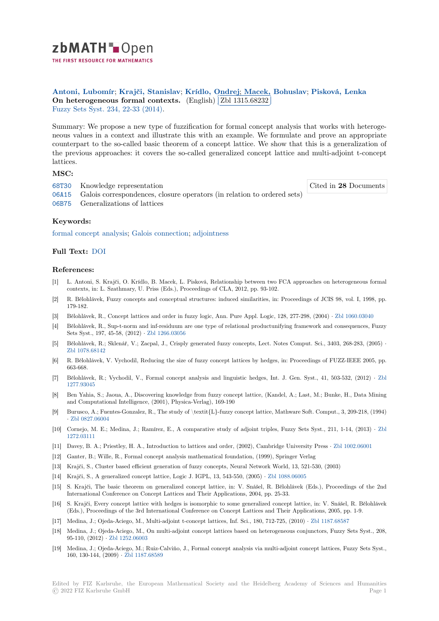

THE FIRST RESOURCE FOR MATHEMATICS

**Antoni, Lubomír**; **Krajči, Stanislav**; **Krídlo, Ondrej**; **Macek, Bohuslav**; **Pisková, Lenka** ✄ **[O](https://zbmath.org/)n heterogeneous formal contexts.** (English)  $\boxed{\text{Zbl 1315.68232}}$ ✁ Fuzzy Sets Syst. 234, 22-33 (2014).

[Summary: We prop](https://zbmath.org/authors/?q=ai:antoni.lubomir)[ose a new type of fuz](https://zbmath.org/authors/?q=ai:krajci.stanislav)[zification for form](https://zbmath.org/authors/?q=ai:kridlo.ondrej)[al concept analysis th](https://zbmath.org/authors/?q=ai:macek.bohuslav)[at works with het](https://zbmath.org/authors/?q=ai:piskova.lenka)eroge[neous values in a context and illustrate](https://zbmath.org/1315.68232) this with [an example. We fo](https://zbmath.org/1315.68232)rmulate and prove an appropriate [counterpart to t](https://zbmath.org/journals/?q=se:428)[he so-called basic](https://zbmath.org/?q=in:345455) theorem of a concept lattice. We show that this is a generalization of the previous approaches: it covers the so-called generalized concept lattice and multi-adjoint t-concept lattices.

## **MSC:**

| 68T30 |  | Knowledge representation |
|-------|--|--------------------------|
|-------|--|--------------------------|

Cited in **28** Documents

- 06A15 Galois correspondences, closure operators (in relation to ordered sets)
- 06B75 Generalizations of lattices

## **[Keyw](https://zbmath.org/classification/?q=cc:68T30)ords:**

[formal](https://zbmath.org/classification/?q=cc:06A15) concept analysis; Galois connection; adjointness

## **Full Text:** DOI

## **[References:](https://zbmath.org/?q=ut:formal+concept+analysis)**

- [1] L. Antoni, S. Krajči, O. Krídlo, B. Macek, L. Pisková, Relationship between two FCA approaches on heterogeneous formal contexts, [in: L.](https://dx.doi.org/10.1016/j.fss.2013.04.008) Szathmary, U. Priss (Eds.), Proceedings of CLA, 2012, pp. 93-102.
- [2] R. Bělohlávek, Fuzzy concepts and conceptual structures: induced similarities, in: Proceedings of JCIS 98, vol. I, 1998, pp. 179-182.
- [3] Bělohlávek, R., Concept lattices and order in fuzzy logic, Ann. Pure Appl. Logic, 128, 277-298, (2004) *·* Zbl 1060.03040
- [4] Bělohlávek, R., Sup-t-norm and inf-residuum are one type of relational productunifying framework and consequences, Fuzzy Sets Syst., 197, 45-58, (2012) *·* Zbl 1266.03056
- [5] Bělohlávek, R.; Sklenář, V.; Zacpal, J., Crisply generated fuzzy concepts, Lect. Notes Comput. Sci., 3403, 268-283, (2005) *·* Zbl 1078.68142
- [6] R. Bělohlávek, V. Vychodil, Reducing the size of fuzzy concept lattices by hedges, in: Proceedings of FUZZ-IEEE 2005, pp. 663-668.
- [7] Bělohlávek, R.; Vychodil, V., Formal concept analysis and linguistic hedges, Int. J. Gen. Syst., 41, 503-532, (2012) *·* Zbl [1277.93045](https://zbmath.org/1078.68142)
- [8] Ben Yahia, S.; Jaoua, A., Discovering knowledge from fuzzy concept lattice, (Kandel, A.; Last, M.; Bunke, H., Data Mining and Computational Intelligence, (2001), Physica-Verlag), 169-190
- [9] Burusco, A.; Fuentes-Gonzalez, R., The study of \textit{L}-fuzzy concept lattice, Mathware Soft. Comput., 3, 209-218, (1[994\)](https://zbmath.org/1277.93045) *·* [Zbl 0827.0](https://zbmath.org/1277.93045)6004
- [10] Cornejo, M. E.; Medina, J.; Ramírez, E., A comparative study of adjoint triples, Fuzzy Sets Syst., 211, 1-14, (2013) *·* Zbl 1272.03111
- [11] Davey, B. A.; Priestley, H. A., Introduction to lattices and order, (2002), Cambridge University Press *·* Zbl 1002.06001
- [12] [Ganter, B.; Wille](https://zbmath.org/0827.06004), R., Formal concept analysis mathematical foundation, (1999), Springer Verlag
- [13] Krajči, S., Cluster based efficient generation of fuzzy concepts, Neural Network World, 13, 521-530, (2003)
- [14] [Krajči, S.,](https://zbmath.org/1272.03111) A generalized concept lattice, Logic J. IGPL, 13, 543-550, (2005) *·* Zbl 1088.06005
- [15] S. Krajči, The basic theorem on generalized concept lattice, in: V. Snášel, R. Bělohlávek (Eds.), Pr[oceedings of the](https://zbmath.org/1002.06001) 2nd International Conference on Concept Lattices and Their Applications, 2004, pp. 25-33.
- [16] S. Krajči, Every concept lattice with hedges is isomorphic to some generalized concept lattice, in: V. Snášel, R. Bělohlávek (Eds.), Proceedings of the 3rd International Conference on Concept Lattices [and Their Appli](https://zbmath.org/1088.06005)cations, 2005, pp. 1-9.
- [17] Medina, J.; Ojeda-Aciego, M., Multi-adjoint t-concept lattices, Inf. Sci., 180, 712-725, (2010) *·* Zbl 1187.68587
- [18] Medina, J.; Ojeda-Aciego, M., On multi-adjoint concept lattices based on heterogeneous conjunctors, Fuzzy Sets Syst., 208, 95-110, (2012) *·* Zbl 1252.06003
- [19] Medina, J.; Ojeda-Aciego, M.; Ruiz-Calviño, J., Formal concept analysis via multi-adjoint concept lattices, Fuzzy Sets Syst., 160, 130-144, (2009) *·* Zbl 1187.68589